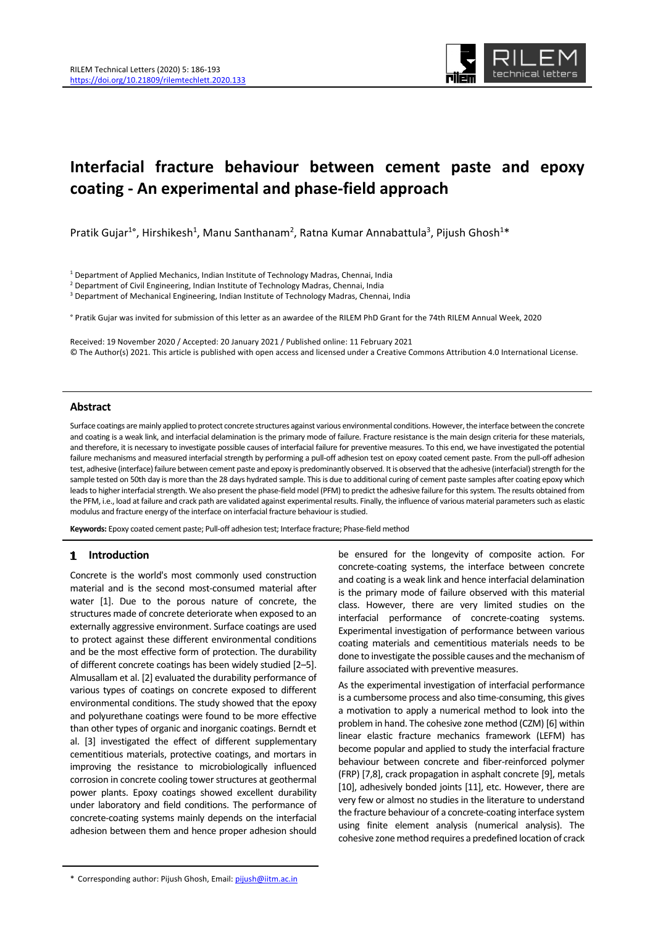

# **Interfacial fracture behaviour between cement paste and epoxy coating ‐ An experimental and phase‐field approach**

Pratik Gujar<sup>1</sup>°, Hirshikesh<sup>1</sup>, Manu Santhanam<sup>2</sup>, Ratna Kumar Annabattula<sup>3</sup>, Pijush Ghosh<sup>1</sup>\*

<sup>1</sup> Department of Applied Mechanics, Indian Institute of Technology Madras, Chennai, India

<sup>2</sup> Department of Civil Engineering, Indian Institute of Technology Madras, Chennai, India

<sup>3</sup> Department of Mechanical Engineering, Indian Institute of Technology Madras, Chennai, India

° Pratik Gujar was invited for submission of this letter as an awardee of the RILEM PhD Grant for the 74th RILEM Annual Week, 2020

Received: 19 November 2020 / Accepted: 20 January 2021 / Published online: 11 February 2021 © The Author(s) 2021. This article is published with open access and licensed under a Creative Commons Attribution 4.0 International License.

# **Abstract**

Surface coatings are mainly applied to protect concrete structures against various environmental conditions. However, the interface between the concrete and coating is a weak link, and interfacial delamination is the primary mode of failure. Fracture resistance is the main design criteria for these materials, and therefore, it is necessary to investigate possible causes of interfacial failure for preventive measures. To this end, we have investigated the potential failure mechanisms and measured interfacial strength by performing a pull‐off adhesion test on epoxy coated cement paste. From the pull‐off adhesion test, adhesive (interface) failure between cement paste and epoxy is predominantly observed. It is observed that the adhesive (interfacial) strength for the sample tested on 50th day is more than the 28 days hydrated sample. This is due to additional curing of cement paste samples after coating epoxy which leads to higher interfacial strength. We also present the phase-field model (PFM) to predict the adhesive failure for this system. The results obtained from the PFM, i.e., load at failure and crack path are validated against experimental results. Finally, the influence of various material parameters such as elastic modulus and fracture energy of the interface on interfacial fracture behaviour is studied.

**Keywords:** Epoxy coated cement paste; Pull‐off adhesion test; Interface fracture; Phase‐field method

# **Introduction**

Concrete is the world's most commonly used construction material and is the second most-consumed material after water [1]. Due to the porous nature of concrete, the structures made of concrete deteriorate when exposed to an externally aggressive environment. Surface coatings are used to protect against these different environmental conditions and be the most effective form of protection. The durability of different concrete coatings has been widely studied [2–5]. Almusallam et al. [2] evaluated the durability performance of various types of coatings on concrete exposed to different environmental conditions. The study showed that the epoxy and polyurethane coatings were found to be more effective than other types of organic and inorganic coatings. Berndt et al. [3] investigated the effect of different supplementary cementitious materials, protective coatings, and mortars in improving the resistance to microbiologically influenced corrosion in concrete cooling tower structures at geothermal power plants. Epoxy coatings showed excellent durability under laboratory and field conditions. The performance of concrete‐coating systems mainly depends on the interfacial adhesion between them and hence proper adhesion should be ensured for the longevity of composite action. For concrete‐coating systems, the interface between concrete and coating is a weak link and hence interfacial delamination is the primary mode of failure observed with this material class. However, there are very limited studies on the interfacial performance of concrete‐coating systems. Experimental investigation of performance between various coating materials and cementitious materials needs to be done to investigate the possible causes and the mechanism of failure associated with preventive measures.

As the experimental investigation of interfacial performance is a cumbersome process and also time‐consuming, this gives a motivation to apply a numerical method to look into the problem in hand. The cohesive zone method (CZM) [6] within linear elastic fracture mechanics framework (LEFM) has become popular and applied to study the interfacial fracture behaviour between concrete and fiber-reinforced polymer (FRP) [7,8], crack propagation in asphalt concrete [9], metals [10], adhesively bonded joints [11], etc. However, there are very few or almost no studies in the literature to understand the fracture behaviour of a concrete‐coating interface system using finite element analysis (numerical analysis). The cohesive zone method requires a predefined location of crack

<sup>\*</sup> Corresponding author: Pijush Ghosh, Email: pijush@iitm.ac.in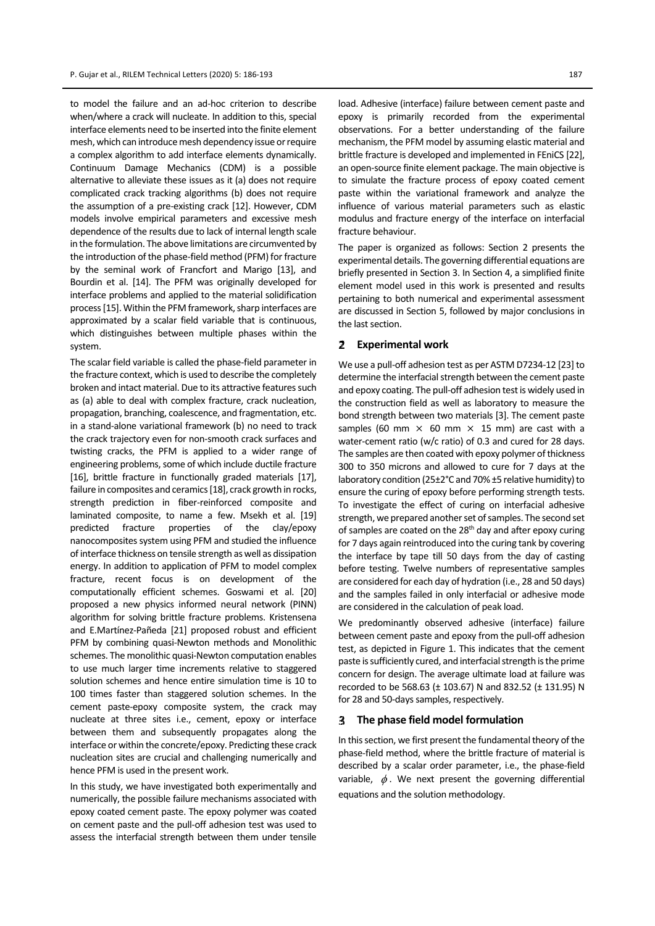to model the failure and an ad‐hoc criterion to describe when/where a crack will nucleate. In addition to this, special interface elements need to be inserted into the finite element mesh, which can introduce mesh dependency issue or require a complex algorithm to add interface elements dynamically. Continuum Damage Mechanics (CDM) is a possible alternative to alleviate these issues as it (a) does not require complicated crack tracking algorithms (b) does not require the assumption of a pre‐existing crack [12]. However, CDM models involve empirical parameters and excessive mesh dependence of the results due to lack of internal length scale in the formulation. The above limitations are circumvented by the introduction of the phase-field method (PFM) for fracture by the seminal work of Francfort and Marigo [13], and Bourdin et al. [14]. The PFM was originally developed for interface problems and applied to the material solidification process [15]. Within the PFM framework, sharp interfaces are approximated by a scalar field variable that is continuous, which distinguishes between multiple phases within the system.

The scalar field variable is called the phase‐field parameter in the fracture context, which is used to describe the completely broken and intact material. Due to its attractive features such as (a) able to deal with complex fracture, crack nucleation, propagation, branching, coalescence, and fragmentation, etc. in a stand‐alone variational framework (b) no need to track the crack trajectory even for non‐smooth crack surfaces and twisting cracks, the PFM is applied to a wider range of engineering problems, some of which include ductile fracture [16], brittle fracture in functionally graded materials [17], failure in composites and ceramics [18], crack growth in rocks, strength prediction in fiber-reinforced composite and laminated composite, to name a few. Msekh et al. [19] predicted fracture properties of the clay/epoxy nanocomposites system using PFM and studied the influence of interface thickness on tensile strength as well as dissipation energy. In addition to application of PFM to model complex fracture, recent focus is on development of the computationally efficient schemes. Goswami et al. [20] proposed a new physics informed neural network (PINN) algorithm for solving brittle fracture problems. Kristensena and E.Martínez‐Pañeda [21] proposed robust and efficient PFM by combining quasi‐Newton methods and Monolithic schemes. The monolithic quasi‐Newton computation enables to use much larger time increments relative to staggered solution schemes and hence entire simulation time is 10 to 100 times faster than staggered solution schemes. In the cement paste‐epoxy composite system, the crack may nucleate at three sites i.e., cement, epoxy or interface between them and subsequently propagates along the interface or within the concrete/epoxy. Predicting these crack nucleation sites are crucial and challenging numerically and hence PFM is used in the present work.

In this study, we have investigated both experimentally and numerically, the possible failure mechanisms associated with epoxy coated cement paste. The epoxy polymer was coated on cement paste and the pull‐off adhesion test was used to assess the interfacial strength between them under tensile

load. Adhesive (interface) failure between cement paste and epoxy is primarily recorded from the experimental observations. For a better understanding of the failure mechanism, the PFM model by assuming elastic material and brittle fracture is developed and implemented in FEniCS [22], an open‐source finite element package. The main objective is to simulate the fracture process of epoxy coated cement paste within the variational framework and analyze the influence of various material parameters such as elastic modulus and fracture energy of the interface on interfacial fracture behaviour.

The paper is organized as follows: Section 2 presents the experimental details. The governing differential equations are briefly presented in Section 3. In Section 4, a simplified finite element model used in this work is presented and results pertaining to both numerical and experimental assessment are discussed in Section 5, followed by major conclusions in the last section.

#### 2 **Experimental work**

We use a pull-off adhesion test as per ASTM D7234-12 [23] to determine the interfacial strength between the cement paste and epoxy coating. The pull-off adhesion test is widely used in the construction field as well as laboratory to measure the bond strength between two materials [3]. The cement paste samples (60 mm  $\times$  60 mm  $\times$  15 mm) are cast with a water-cement ratio (w/c ratio) of 0.3 and cured for 28 days. The samples are then coated with epoxy polymer of thickness 300 to 350 microns and allowed to cure for 7 days at the laboratory condition (25±2°C and 70% ±5 relative humidity) to ensure the curing of epoxy before performing strength tests. To investigate the effect of curing on interfacial adhesive strength, we prepared another set of samples. The second set of samples are coated on the 28<sup>th</sup> day and after epoxy curing for 7 days again reintroduced into the curing tank by covering the interface by tape till 50 days from the day of casting before testing. Twelve numbers of representative samples are considered for each day of hydration (i.e., 28 and 50 days) and the samples failed in only interfacial or adhesive mode are considered in the calculation of peak load.

We predominantly observed adhesive (interface) failure between cement paste and epoxy from the pull‐off adhesion test, as depicted in Figure 1. This indicates that the cement paste is sufficiently cured, and interfacial strength is the prime concern for design. The average ultimate load at failure was recorded to be 568.63 (± 103.67) N and 832.52 (± 131.95) N for 28 and 50-days samples, respectively.

#### **The phase field model formulation** 3.

In this section, we first present the fundamental theory of the phase‐field method, where the brittle fracture of material is described by a scalar order parameter, i.e., the phase‐field variable,  $\phi$ . We next present the governing differential equations and the solution methodology.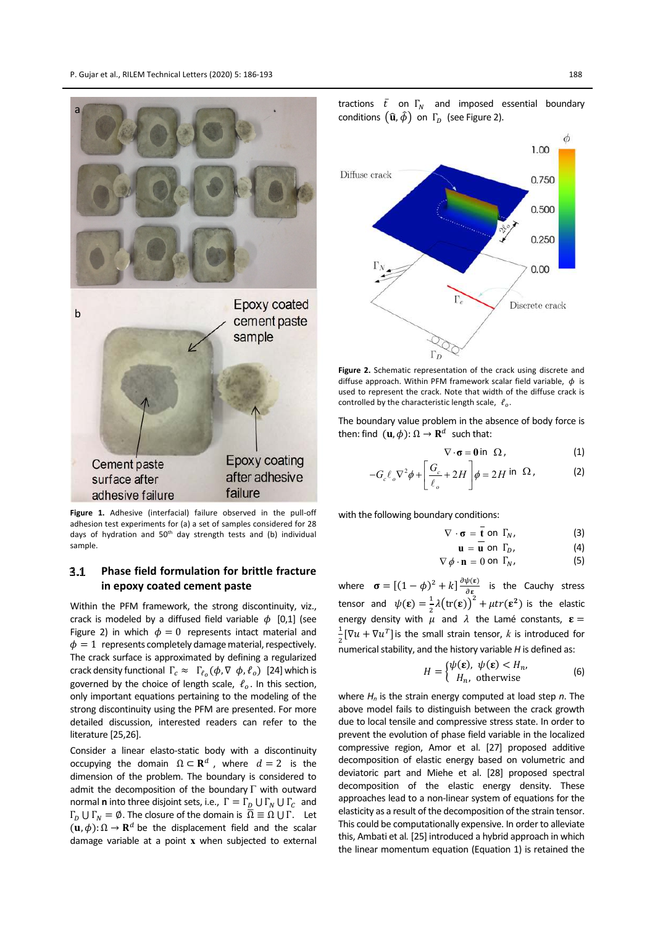

**Figure 1.** Adhesive (interfacial) failure observed in the pull‐off adhesion test experiments for (a) a set of samples considered for 28 days of hydration and 50<sup>th</sup> day strength tests and (b) individual sample.

### $3.1$ **Phase field formulation for brittle fracture in epoxy coated cement paste**

Within the PFM framework, the strong discontinuity, viz., crack is modeled by a diffused field variable  $\phi$  [0,1] (see Figure 2) in which  $\phi = 0$  represents intact material and  $\phi = 1$  represents completely damage material, respectively. The crack surface is approximated by defining a regularized crack density functional  $\Gamma_c \approx \Gamma_{\ell_0}(\phi, \nabla \phi, \ell_o)$  [24] which is governed by the choice of length scale,  $\ell_o$ . In this section, only important equations pertaining to the modeling of the strong discontinuity using the PFM are presented. For more detailed discussion, interested readers can refer to the literature [25,26].

Consider a linear elasto‐static body with a discontinuity occupying the domain  $\Omega \subset \mathbf{R}^d$ , where  $d = 2$  is the dimension of the problem. The boundary is considered to admit the decomposition of the boundary  $\Gamma$  with outward normal **n** into three disjoint sets, i.e.,  $\Gamma = \Gamma_{\text{n}} \cup \Gamma_{\text{n}} \cup \Gamma_{\text{c}}$  and  $\Gamma_D \cup \Gamma_N = \emptyset$ . The closure of the domain is  $\overline{\Omega} \equiv \Omega \cup \Gamma$ . Let  $(\mathbf{u}, \phi): \Omega \to \mathbf{R}^d$  be the displacement field and the scalar damage variable at a point **x** when subjected to external





**Figure 2.** Schematic representation of the crack using discrete and diffuse approach. Within PFM framework scalar field variable,  $\phi$  is used to represent the crack. Note that width of the diffuse crack is controlled by the characteristic length scale,  $\ell_o$ .

The boundary value problem in the absence of body force is then: find  $(\mathbf{u}, \phi)$ :  $\Omega \to \mathbf{R}^d$  such that:

$$
\nabla \cdot \sigma = 0 \text{ in } \Omega, \qquad (1)
$$

$$
-G_c \ell_o \nabla^2 \phi + \left[ \frac{G_c}{\ell_o} + 2H \right] \phi = 2H \text{ in } \Omega, \qquad (2)
$$

with the following boundary conditions:

$$
\nabla \cdot \mathbf{\sigma} = \mathbf{\bar{t}} \text{ on } \Gamma_N,
$$
 (3)

$$
\mathbf{u} = \overline{\mathbf{u}} \text{ on } \Gamma_D, \tag{4}
$$

$$
\nabla \phi \cdot \mathbf{n} = 0 \text{ on } \Gamma_N,
$$
 (5)

where  $\sigma = [(1 - \phi)^2 + k] \frac{\partial \psi(\varepsilon)}{\partial s}$  $\frac{\varphi(\epsilon)}{\partial \epsilon}$  is the Cauchy stress tensor and  $\psi(\mathbf{\varepsilon}) = \frac{1}{2}$  $\frac{1}{2}\lambda \bigl(\text{tr}(\boldsymbol{\epsilon})\bigr)^2 + \mu \text{tr}(\boldsymbol{\epsilon}^2)$  is the elastic energy density with  $\mu$  and  $\lambda$  the Lamé constants,  $\epsilon$  =  $\frac{1}{2}[\nabla u + \nabla u^T]$  is the small strain tensor,  $k$  is introduced for 2<sup>-</sup><br>numerical stability, and the history variable *H* is defined as:

$$
H = \begin{cases} \psi(\varepsilon), & \psi(\varepsilon) < H_n, \\ H_n, & \text{otherwise} \end{cases}
$$
 (6)

where *H<sup>n</sup>* is the strain energy computed at load step *n*. The above model fails to distinguish between the crack growth due to local tensile and compressive stress state. In order to prevent the evolution of phase field variable in the localized compressive region, Amor et al. [27] proposed additive decomposition of elastic energy based on volumetric and deviatoric part and Miehe et al. [28] proposed spectral decomposition of the elastic energy density. These approaches lead to a non‐linear system of equations for the elasticity as a result of the decomposition of the strain tensor. This could be computationally expensive. In order to alleviate this, Ambati et al*.* [25] introduced a hybrid approach in which the linear momentum equation (Equation 1) is retained the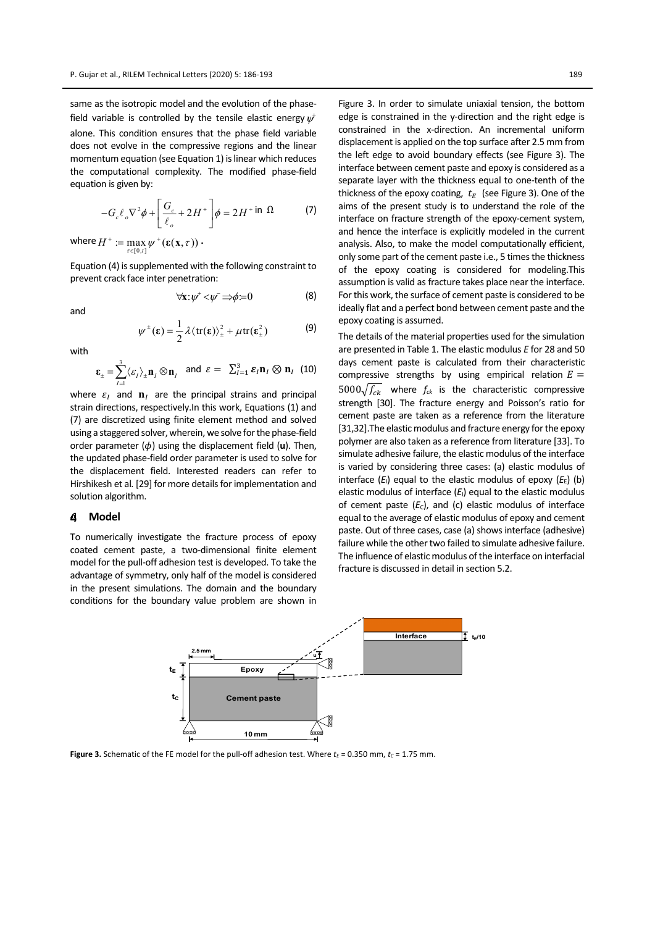same as the isotropic model and the evolution of the phasefield variable is controlled by the tensile elastic energy  $\psi^\dagger$ alone. This condition ensures that the phase field variable does not evolve in the compressive regions and the linear momentum equation (see Equation 1) is linear which reduces the computational complexity. The modified phase‐field equation is given by:

$$
-G_c \ell_o \nabla^2 \phi + \left[ \frac{G_c}{\ell_o} + 2H^+ \right] \phi = 2H^+ \text{ in } \Omega \tag{7}
$$

where  $H^+ := \max_{\tau \in [0,t]} \psi^+(\varepsilon(\mathbf{x}, \tau))$  $\epsilon$  $=$  max  $\psi^+(\varepsilon(\mathbf{x},\tau))$ .

Equation (4) is supplemented with the following constraint to prevent crack face inter penetration:

 $\forall x: \psi^* < \psi \Rightarrow \phi = 0$  (8)

and

$$
\psi^{\pm}(\varepsilon) = \frac{1}{2} \lambda \langle tr(\varepsilon) \rangle_{\pm}^{2} + \mu tr(\varepsilon_{\pm}^{2})
$$
 (9)

with

$$
\varepsilon_{\pm} = \sum_{I=1}^{3} \langle \varepsilon_{I} \rangle_{\pm} \mathbf{n}_{I} \otimes \mathbf{n}_{I} \quad \text{and} \quad \varepsilon = \sum_{I=1}^{3} \varepsilon_{I} \mathbf{n}_{I} \otimes \mathbf{n}_{I} \tag{10}
$$

where  $\varepsilon$ <sub>I</sub> and  $\mathbf{n}_1$  are the principal strains and principal strain directions, respectively.In this work, Equations (1) and (7) are discretized using finite element method and solved using a staggered solver, wherein, we solve for the phase-field order parameter  $(\phi)$  using the displacement field (**u**). Then, the updated phase‐field order parameter is used to solve for the displacement field. Interested readers can refer to Hirshikesh et al. [29] for more details for implementation and solution algorithm.

#### 4 **Model**

To numerically investigate the fracture process of epoxy coated cement paste, a two-dimensional finite element model for the pull‐off adhesion test is developed. To take the advantage of symmetry, only half of the model is considered in the present simulations. The domain and the boundary conditions for the boundary value problem are shown in

Figure 3. In order to simulate uniaxial tension, the bottom edge is constrained in the y-direction and the right edge is constrained in the x‐direction. An incremental uniform displacement is applied on the top surface after 2.5 mm from the left edge to avoid boundary effects (see Figure 3). The interface between cement paste and epoxy is considered as a separate layer with the thickness equal to one-tenth of the thickness of the epoxy coating,  $t_E$  (see Figure 3). One of the aims of the present study is to understand the role of the interface on fracture strength of the epoxy‐cement system, and hence the interface is explicitly modeled in the current analysis. Also, to make the model computationally efficient, only some part of the cement paste i.e., 5 times the thickness of the epoxy coating is considered for modeling.This assumption is valid as fracture takes place near the interface. For this work, the surface of cement paste is considered to be ideally flat and a perfect bond between cement paste and the epoxy coating is assumed.

The details of the material properties used for the simulation are presented in Table 1. The elastic modulus *E* for 28 and 50 days cement paste is calculated from their characteristic compressive strengths by using empirical relation  $E =$  $5000\sqrt{f_{ck}}$  where  $f_{ck}$  is the characteristic compressive strength [30]. The fracture energy and Poisson's ratio for cement paste are taken as a reference from the literature [31,32]. The elastic modulus and fracture energy for the epoxy polymer are also taken as a reference from literature [33]. To simulate adhesive failure, the elastic modulus of the interface is varied by considering three cases: (a) elastic modulus of interface  $(E_1)$  equal to the elastic modulus of epoxy  $(E_E)$  (b) elastic modulus of interface  $(E<sub>1</sub>)$  equal to the elastic modulus of cement paste  $(E_c)$ , and (c) elastic modulus of interface equal to the average of elastic modulus of epoxy and cement paste. Out of three cases, case (a) shows interface (adhesive) failure while the other two failed to simulate adhesive failure. The influence of elastic modulus of the interface on interfacial fracture is discussed in detail in section 5.2.



**Figure 3.** Schematic of the FE model for the pull-off adhesion test. Where  $t_E$  = 0.350 mm,  $t_C$  = 1.75 mm.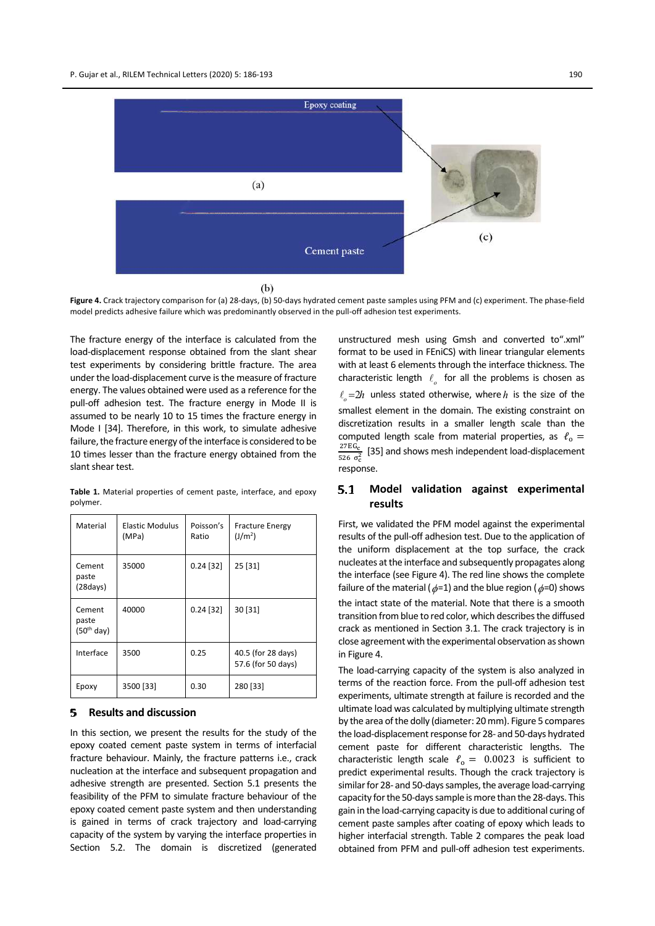

**Figure 4.** Crack trajectory comparison for (a) 28‐days, (b) 50‐days hydrated cement paste samples using PFM and (c) experiment. The phase‐field model predicts adhesive failure which was predominantly observed in the pull‐off adhesion test experiments.

The fracture energy of the interface is calculated from the load‐displacement response obtained from the slant shear test experiments by considering brittle fracture. The area under the load-displacement curve is the measure of fracture energy. The values obtained were used as a reference for the pull-off adhesion test. The fracture energy in Mode II is assumed to be nearly 10 to 15 times the fracture energy in Mode I [34]. Therefore, in this work, to simulate adhesive failure, the fracture energy of the interface is considered to be 10 times lesser than the fracture energy obtained from the slant shear test.

**Table 1.** Material properties of cement paste, interface, and epoxy polymer.

| Material                        | Elastic Modulus<br>(MPa) | Poisson's<br>Ratio | <b>Fracture Energy</b><br>(J/m <sup>2</sup> ) |
|---------------------------------|--------------------------|--------------------|-----------------------------------------------|
| Cement<br>paste<br>(28 days)    | 35000                    | $0.24$ [32]        | 25 [31]                                       |
| Cement<br>paste<br>$(50th$ day) | 40000                    | $0.24$ [32]        | 30 [31]                                       |
| Interface                       | 3500                     | 0.25               | 40.5 (for 28 days)<br>57.6 (for 50 days)      |
| Epoxy                           | 3500 [33]                | 0.30               | 280 [33]                                      |

#### **Results and discussion** 5.

In this section, we present the results for the study of the epoxy coated cement paste system in terms of interfacial fracture behaviour. Mainly, the fracture patterns i.e., crack nucleation at the interface and subsequent propagation and adhesive strength are presented. Section 5.1 presents the feasibility of the PFM to simulate fracture behaviour of the epoxy coated cement paste system and then understanding is gained in terms of crack trajectory and load‐carrying capacity of the system by varying the interface properties in Section 5.2. The domain is discretized (generated

unstructured mesh using Gmsh and converted to".xml" format to be used in FEniCS) with linear triangular elements with at least 6 elements through the interface thickness. The characteristic length  $\ell$ <sub>o</sub> for all the problems is chosen as  $\ell_{o} = 2h$  unless stated otherwise, where h is the size of the smallest element in the domain. The existing constraint on discretization results in a smaller length scale than the computed length scale from material properties, as  $\ell_0 =$  $27EG_C$  $rac{27 \text{ EG}_c}{526 \sigma_c^2}$  [35] and shows mesh independent load-displacement response.

### **Model validation against experimental**  $5.1$ **results**

First, we validated the PFM model against the experimental results of the pull‐off adhesion test. Due to the application of the uniform displacement at the top surface, the crack nucleates at the interface and subsequently propagates along the interface (see Figure 4). The red line shows the complete failure of the material ( $\phi$ =1) and the blue region ( $\phi$ =0) shows the intact state of the material. Note that there is a smooth transition from blue to red color, which describes the diffused crack as mentioned in Section 3.1. The crack trajectory is in close agreement with the experimental observation as shown in Figure 4.

The load‐carrying capacity of the system is also analyzed in terms of the reaction force. From the pull‐off adhesion test experiments, ultimate strength at failure is recorded and the ultimate load was calculated by multiplying ultimate strength by the area of the dolly (diameter: 20 mm). Figure 5 compares the load-displacement response for 28- and 50-days hydrated cement paste for different characteristic lengths. The characteristic length scale  $\ell_{o} = 0.0023$  is sufficient to predict experimental results. Though the crack trajectory is similar for 28- and 50-days samples, the average load-carrying capacity for the 50-days sample is more than the 28-days. This gain in the load‐carrying capacity is due to additional curing of cement paste samples after coating of epoxy which leads to higher interfacial strength. Table 2 compares the peak load obtained from PFM and pull‐off adhesion test experiments.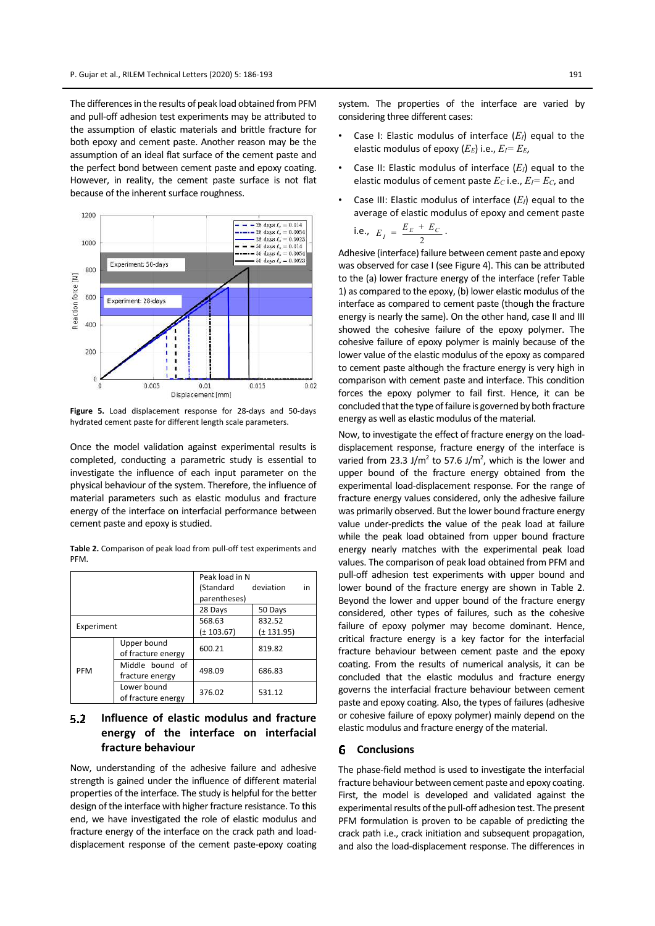The differences in the results of peak load obtained from PFM and pull‐off adhesion test experiments may be attributed to the assumption of elastic materials and brittle fracture for both epoxy and cement paste. Another reason may be the assumption of an ideal flat surface of the cement paste and the perfect bond between cement paste and epoxy coating. However, in reality, the cement paste surface is not flat because of the inherent surface roughness.



**Figure 5.** Load displacement response for 28‐days and 50‐days hydrated cement paste for different length scale parameters.

Once the model validation against experimental results is completed, conducting a parametric study is essential to investigate the influence of each input parameter on the physical behaviour of the system. Therefore, the influence of material parameters such as elastic modulus and fracture energy of the interface on interfacial performance between cement paste and epoxy is studied.

**Table 2.** Comparison of peak load from pull‐off test experiments and PFM.

|            |                                    | Peak load in N |            |    |
|------------|------------------------------------|----------------|------------|----|
|            |                                    | (Standard      | deviation  | in |
|            |                                    | parentheses)   |            |    |
|            |                                    | 28 Days        | 50 Days    |    |
| Experiment |                                    | 568.63         | 832.52     |    |
|            |                                    | $(\pm 103.67)$ | (± 131.95) |    |
| <b>PFM</b> | Upper bound<br>of fracture energy  | 600.21         | 819.82     |    |
|            | Middle bound of<br>fracture energy | 498.09         | 686.83     |    |
|            | Lower bound<br>of fracture energy  | 376.02         | 531.12     |    |

### $5.2$ **Influence of elastic modulus and fracture energy of the interface on interfacial fracture behaviour**

Now, understanding of the adhesive failure and adhesive strength is gained under the influence of different material properties of the interface. The study is helpful for the better design of the interface with higher fracture resistance. To this end, we have investigated the role of elastic modulus and fracture energy of the interface on the crack path and load‐ displacement response of the cement paste‐epoxy coating

system. The properties of the interface are varied by considering three different cases:

- Case I: Elastic modulus of interface  $(E_I)$  equal to the elastic modulus of epoxy (*EE*) i.e., *EI= EE*,
- Case II: Elastic modulus of interface  $(E_I)$  equal to the elastic modulus of cement paste *E<sup>C</sup>* i.e., *EI= EC*, and
- Case III: Elastic modulus of interface  $(E_I)$  equal to the average of elastic modulus of epoxy and cement paste  $\mathbf{E}$

i.e., 
$$
E_I = \frac{E_E + E_C}{2}
$$
.

Adhesive (interface) failure between cement paste and epoxy was observed for case I (see Figure 4). This can be attributed to the (a) lower fracture energy of the interface (refer Table 1) as compared to the epoxy, (b) lower elastic modulus of the interface as compared to cement paste (though the fracture energy is nearly the same). On the other hand, case II and III showed the cohesive failure of the epoxy polymer. The cohesive failure of epoxy polymer is mainly because of the lower value of the elastic modulus of the epoxy as compared to cement paste although the fracture energy is very high in comparison with cement paste and interface. This condition forces the epoxy polymer to fail first. Hence, it can be concluded that the type of failure is governed by both fracture energy as well as elastic modulus of the material.

Now, to investigate the effect of fracture energy on the load‐ displacement response, fracture energy of the interface is varied from 23.3 J/m<sup>2</sup> to 57.6 J/m<sup>2</sup>, which is the lower and upper bound of the fracture energy obtained from the experimental load‐displacement response. For the range of fracture energy values considered, only the adhesive failure was primarily observed. But the lower bound fracture energy value under‐predicts the value of the peak load at failure while the peak load obtained from upper bound fracture energy nearly matches with the experimental peak load values. The comparison of peak load obtained from PFM and pull‐off adhesion test experiments with upper bound and lower bound of the fracture energy are shown in Table 2. Beyond the lower and upper bound of the fracture energy considered, other types of failures, such as the cohesive failure of epoxy polymer may become dominant. Hence, critical fracture energy is a key factor for the interfacial fracture behaviour between cement paste and the epoxy coating. From the results of numerical analysis, it can be concluded that the elastic modulus and fracture energy governs the interfacial fracture behaviour between cement paste and epoxy coating. Also, the types of failures (adhesive or cohesive failure of epoxy polymer) mainly depend on the elastic modulus and fracture energy of the material.

#### 6. **Conclusions**

The phase‐field method is used to investigate the interfacial fracture behaviour between cement paste and epoxy coating. First, the model is developed and validated against the experimental results of the pull-off adhesion test. The present PFM formulation is proven to be capable of predicting the crack path i.e., crack initiation and subsequent propagation, and also the load‐displacement response. The differences in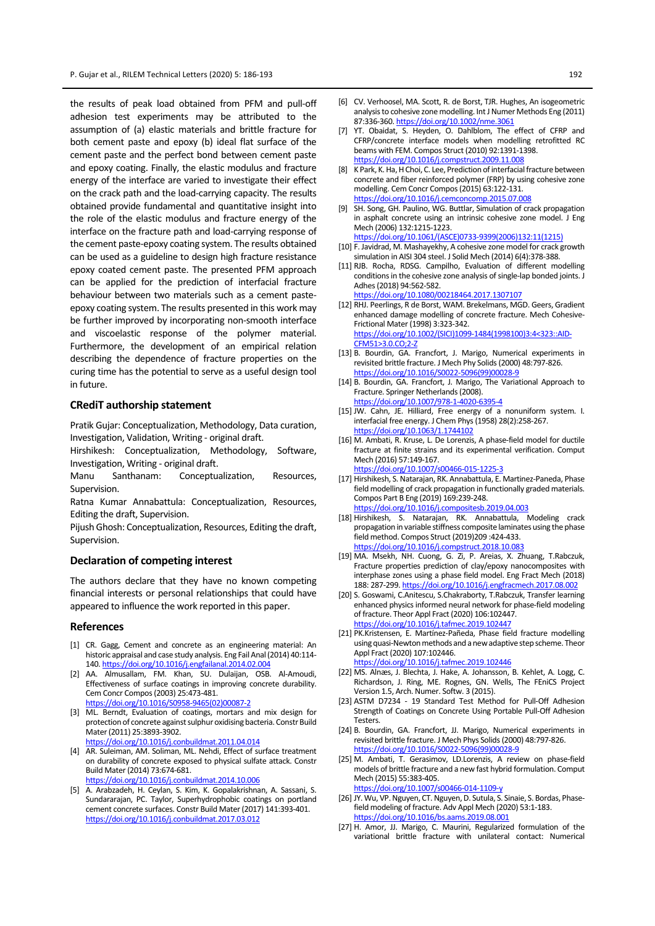the results of peak load obtained from PFM and pull‐off adhesion test experiments may be attributed to the assumption of (a) elastic materials and brittle fracture for both cement paste and epoxy (b) ideal flat surface of the cement paste and the perfect bond between cement paste and epoxy coating. Finally, the elastic modulus and fracture energy of the interface are varied to investigate their effect on the crack path and the load‐carrying capacity. The results obtained provide fundamental and quantitative insight into the role of the elastic modulus and fracture energy of the interface on the fracture path and load‐carrying response of the cement paste‐epoxy coating system. The results obtained can be used as a guideline to design high fracture resistance epoxy coated cement paste. The presented PFM approach can be applied for the prediction of interfacial fracture behaviour between two materials such as a cement paste‐ epoxy coating system. The results presented in this work may be further improved by incorporating non‐smooth interface and viscoelastic response of the polymer material. Furthermore, the development of an empirical relation describing the dependence of fracture properties on the curing time has the potential to serve as a useful design tool in future.

# **CRediT authorship statement**

Pratik Gujar: Conceptualization, Methodology, Data curation, Investigation, Validation, Writing ‐ original draft.

Hirshikesh: Conceptualization, Methodology, Software, Investigation, Writing ‐ original draft.

Manu Santhanam: Conceptualization, Resources, Supervision.

Ratna Kumar Annabattula: Conceptualization, Resources, Editing the draft, Supervision.

Pijush Ghosh: Conceptualization, Resources, Editing the draft, Supervision.

# **Declaration of competing interest**

The authors declare that they have no known competing financial interests or personal relationships that could have appeared to influence the work reported in this paper.

## **References**

- [1] CR. Gagg, Cement and concrete as an engineering material: An historic appraisal and case study analysis. Eng Fail Anal (2014) 40:114-140. https://doi.org/10.1016/j.engfailanal.2014.02.004
- [2] AA. Almusallam, FM. Khan, SU. Dulaijan, OSB. Al‐Amoudi, Effectiveness of surface coatings in improving concrete durability. Cem Concr Compos(2003) 25:473‐481. https://doi.org/10.1016/S0958‐9465(02)00087‐2
- [3] ML. Berndt, Evaluation of coatings, mortars and mix design for protection of concrete against sulphur oxidising bacteria. Constr Build Mater(2011) 25:3893‐3902. https://doi.org/10.1016/j.conbuildmat.2011.04.014
- [4] AR. Suleiman, AM. Soliman, ML. Nehdi, Effect of surface treatment on durability of concrete exposed to physical sulfate attack. Constr Build Mater (2014) 73:674‐681.
- https://doi.org/10.1016/j.conbuildmat.2014.10.006
- [5] A. Arabzadeh, H. Ceylan, S. Kim, K. Gopalakrishnan, A. Sassani, S. Sundararajan, PC. Taylor, Superhydrophobic coatings on portland cement concrete surfaces. Constr Build Mater(2017) 141:393‐401. https://doi.org/10.1016/j.conbuildmat.2017.03.012
- [6] CV. Verhoosel, MA. Scott, R. de Borst, TJR. Hughes, An isogeometric analysis to cohesive zone modelling. Int J Numer Methods Eng (2011) 87:336‐360. https://doi.org/10.1002/nme.3061
- [7] YT. Obaidat, S. Heyden, O. Dahlblom, The effect of CFRP and CFRP/concrete interface models when modelling retrofitted RC beams with FEM. Compos Struct (2010) 92:1391‐1398. ttps://doi.org/10.1016/j.comps
- [8] K Park, K. Ha, H Choi, C. Lee, Prediction of interfacial fracture between concrete and fiber reinforced polymer (FRP) by using cohesive zone modelling. Cem Concr Compos(2015) 63:122‐131. https://doi.org/10.1016/j.cemconcomp.2015.07.008
- [9] SH. Song, GH. Paulino, WG. Buttlar, Simulation of crack propagation in asphalt concrete using an intrinsic cohesive zone model. J Eng Mech (2006) 132:1215‐1223.
- https://doi.org/10.1061/(ASCE)0733‐9399(2006)132:11(1215) [10] F. Javidrad, M. Mashayekhy, A cohesive zone model for crack growth simulation in AISI 304 steel. J Solid Mech (2014) 6(4):378‐388.
- [11] RJB. Rocha, RDSG. Campilho, Evaluation of different modelling conditions in the cohesive zone analysis of single-lap bonded joints. J Adhes(2018) 94:562‐582. https://doi.org/10.1080/00218464.2017.1307107
- [12] RHJ. Peerlings, R de Borst, WAM. Brekelmans, MGD. Geers, Gradient enhanced damage modelling of concrete fracture. Mech Cohesive-Frictional Mater (1998) 3:323‐342. https://doi.org/10.1002/(SICI)1099‐1484(1998100)3:4<323::AID‐ CFM51>3.0.CO;2‐Z
- [13] B. Bourdin, GA. Francfort, J. Marigo, Numerical experiments in revisited brittle fracture. J Mech Phy Solids(2000) 48:797‐826. https://doi.org/10.1016/S0022-5096(99)0
- [14] B. Bourdin, GA. Francfort, J. Marigo, The Variational Approach to Fracture. Springer Netherlands(2008). https://doi.org/10.1007/978‐1‐4020‐6395‐4
- [15] JW. Cahn, JE. Hilliard, Free energy of a nonuniform system. I. interfacial free energy. J Chem Phys(1958) 28(2):258‐267. https://doi.org/10.1063/1.1744102
- [16] M. Ambati, R. Kruse, L. De Lorenzis, A phase-field model for ductile fracture at finite strains and its experimental verification. Comput Mech (2016) 57:149‐167. https://doi.org/10.1007/s00466‐015‐1225‐3
- [17] Hirshikesh, S. Natarajan, RK. Annabattula, E. Martinez‐Paneda, Phase field modelling of crack propagation in functionally graded materials. Compos Part B Eng (2019) 169:239‐248. https://doi.org/10.1016/j.compositesb.2019.04.003
- [18] Hirshikesh, S. Natarajan, RK. Annabattula, Modeling crack propagation in variable stiffness composite laminates using the phase field method. Compos Struct (2019)209 :424‐433. https://doi.org/10.1016/j.compstruct.2018.10.083
- [19] MA. Msekh, NH. Cuong, G. Zi, P. Areias, X. Zhuang, T.Rabczuk, Fracture properties prediction of clay/epoxy nanocomposites with interphase zones using a phase field model. Eng Fract Mech (2018) 188: 287‐299. https://doi.org/10.1016/j.engfracmech.2017.08.002
- [20] S. Goswami, C.Anitescu, S.Chakraborty, T.Rabczuk, Transfer learning enhanced physics informed neural network for phase-field modeling of fracture. Theor Appl Fract (2020) 106:102447. https://doi.org/10.1016/j.tafmec.2019.102447
- [21] PK.Kristensen, E. Martínez-Pañeda, Phase field fracture modelling using quasi-Newton methods and a new adaptive step scheme. Theor Appl Fract (2020) 107:102446. https://doi.org/10.1016/j.tafmec.2019.102446
- [22] MS. Alnæs, J. Blechta, J. Hake, A. Johansson, B. Kehlet, A. Logg, C. Richardson, J. Ring, ME. Rognes, GN. Wells, The FEniCS Project Version 1.5, Arch. Numer. Softw. 3 (2015).
- [23] ASTM D7234 19 Standard Test Method for Pull-Off Adhesion Strength of Coatings on Concrete Using Portable Pull‐Off Adhesion **Testers**
- [24] B. Bourdin, GA. Francfort, JJ. Marigo, Numerical experiments in revisited brittle fracture. J Mech Phys Solids(2000) 48:797‐826. https://doi.org/10.1016/S0022‐5096(99)00028‐9
- [25] M. Ambati, T. Gerasimov, LD.Lorenzis, A review on phase-field models of brittle fracture and a new fast hybrid formulation. Comput Mech (2015) 55:383‐405. https://doi.org/10.1007/s00466‐014‐1109‐y
- [26] JY. Wu, VP. Nguyen, CT. Nguyen, D. Sutula, S. Sinaie, S. Bordas, Phasefield modeling of fracture. Adv Appl Mech (2020) 53:1‐183. https://doi.org/10.1016/bs.aams.2019.08.001
- [27] H. Amor, JJ. Marigo, C. Maurini, Regularized formulation of the variational brittle fracture with unilateral contact: Numerical